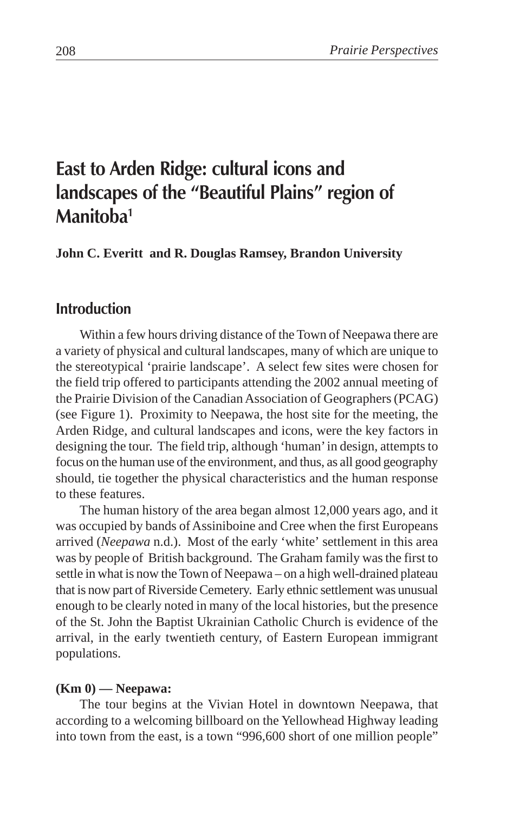# **East to Arden Ridge: cultural icons and landscapes of the "Beautiful Plains" region of Manitoba1**

**John C. Everitt and R. Douglas Ramsey, Brandon University**

# **Introduction**

Within a few hours driving distance of the Town of Neepawa there are a variety of physical and cultural landscapes, many of which are unique to the stereotypical 'prairie landscape'. A select few sites were chosen for the field trip offered to participants attending the 2002 annual meeting of the Prairie Division of the Canadian Association of Geographers (PCAG) (see Figure 1). Proximity to Neepawa, the host site for the meeting, the Arden Ridge, and cultural landscapes and icons, were the key factors in designing the tour. The field trip, although 'human' in design, attempts to focus on the human use of the environment, and thus, as all good geography should, tie together the physical characteristics and the human response to these features.

The human history of the area began almost 12,000 years ago, and it was occupied by bands of Assiniboine and Cree when the first Europeans arrived (*Neepawa* n.d.). Most of the early 'white' settlement in this area was by people of British background. The Graham family was the first to settle in what is now the Town of Neepawa – on a high well-drained plateau that is now part of Riverside Cemetery. Early ethnic settlement was unusual enough to be clearly noted in many of the local histories, but the presence of the St. John the Baptist Ukrainian Catholic Church is evidence of the arrival, in the early twentieth century, of Eastern European immigrant populations.

#### **(Km 0) — Neepawa:**

The tour begins at the Vivian Hotel in downtown Neepawa, that according to a welcoming billboard on the Yellowhead Highway leading into town from the east, is a town "996,600 short of one million people"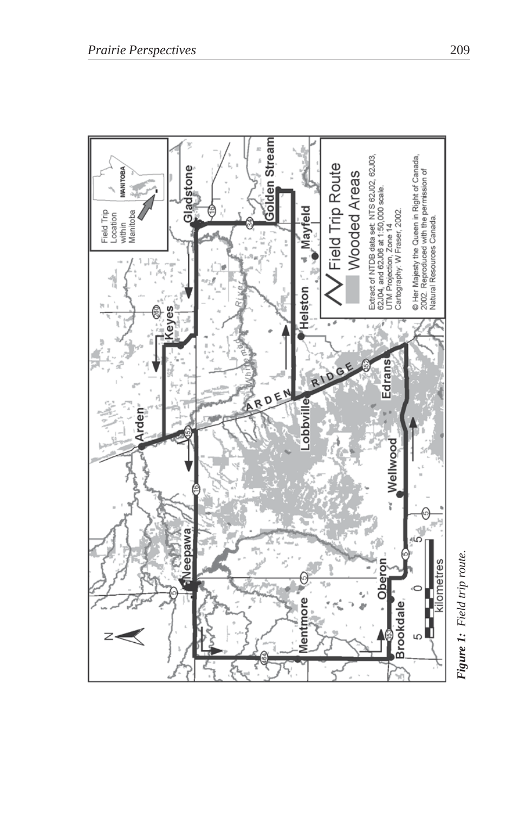

Figure 1: Field trip route. *Figure 1: Field trip route.*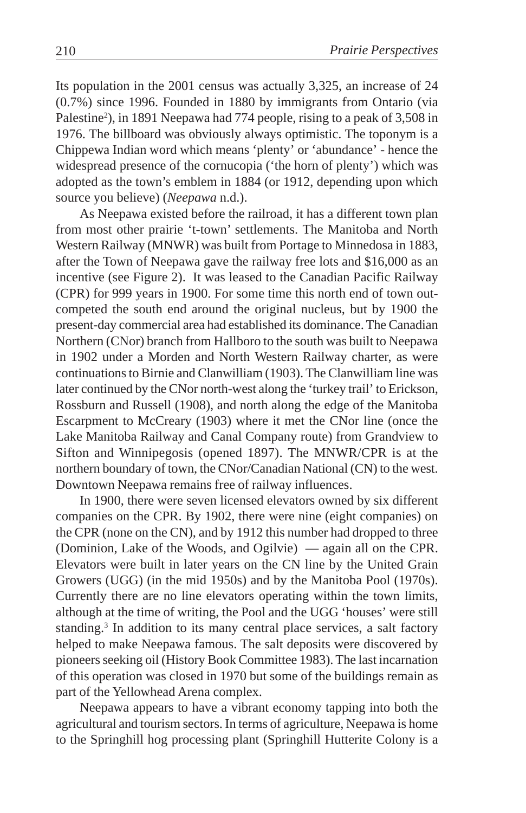Its population in the 2001 census was actually 3,325, an increase of 24 (0.7%) since 1996. Founded in 1880 by immigrants from Ontario (via Palestine<sup>2</sup>), in 1891 Neepawa had 774 people, rising to a peak of 3,508 in 1976. The billboard was obviously always optimistic. The toponym is a Chippewa Indian word which means 'plenty' or 'abundance' - hence the widespread presence of the cornucopia ('the horn of plenty') which was adopted as the town's emblem in 1884 (or 1912, depending upon which source you believe) (*Neepawa* n.d.).

As Neepawa existed before the railroad, it has a different town plan from most other prairie 't-town' settlements. The Manitoba and North Western Railway (MNWR) was built from Portage to Minnedosa in 1883, after the Town of Neepawa gave the railway free lots and \$16,000 as an incentive (see Figure 2). It was leased to the Canadian Pacific Railway (CPR) for 999 years in 1900. For some time this north end of town outcompeted the south end around the original nucleus, but by 1900 the present-day commercial area had established its dominance. The Canadian Northern (CNor) branch from Hallboro to the south was built to Neepawa in 1902 under a Morden and North Western Railway charter, as were continuations to Birnie and Clanwilliam (1903). The Clanwilliam line was later continued by the CNor north-west along the 'turkey trail' to Erickson, Rossburn and Russell (1908), and north along the edge of the Manitoba Escarpment to McCreary (1903) where it met the CNor line (once the Lake Manitoba Railway and Canal Company route) from Grandview to Sifton and Winnipegosis (opened 1897). The MNWR/CPR is at the northern boundary of town, the CNor/Canadian National (CN) to the west. Downtown Neepawa remains free of railway influences.

In 1900, there were seven licensed elevators owned by six different companies on the CPR. By 1902, there were nine (eight companies) on the CPR (none on the CN), and by 1912 this number had dropped to three (Dominion, Lake of the Woods, and Ogilvie) — again all on the CPR. Elevators were built in later years on the CN line by the United Grain Growers (UGG) (in the mid 1950s) and by the Manitoba Pool (1970s). Currently there are no line elevators operating within the town limits, although at the time of writing, the Pool and the UGG 'houses' were still standing.<sup>3</sup> In addition to its many central place services, a salt factory helped to make Neepawa famous. The salt deposits were discovered by pioneers seeking oil (History Book Committee 1983). The last incarnation of this operation was closed in 1970 but some of the buildings remain as part of the Yellowhead Arena complex.

Neepawa appears to have a vibrant economy tapping into both the agricultural and tourism sectors. In terms of agriculture, Neepawa is home to the Springhill hog processing plant (Springhill Hutterite Colony is a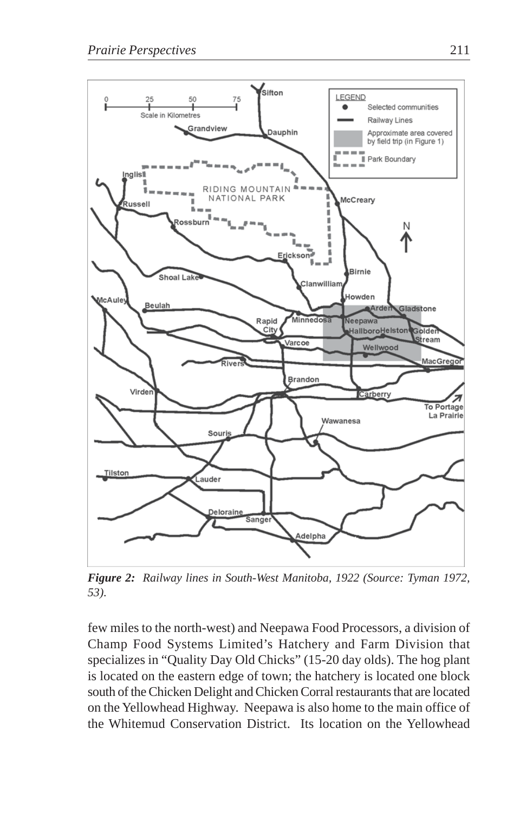

*Figure 2: Railway lines in South-West Manitoba, 1922 (Source: Tyman 1972, 53).*

few miles to the north-west) and Neepawa Food Processors, a division of Champ Food Systems Limited's Hatchery and Farm Division that specializes in "Quality Day Old Chicks" (15-20 day olds). The hog plant is located on the eastern edge of town; the hatchery is located one block south of the Chicken Delight and Chicken Corral restaurants that are located on the Yellowhead Highway. Neepawa is also home to the main office of the Whitemud Conservation District. Its location on the Yellowhead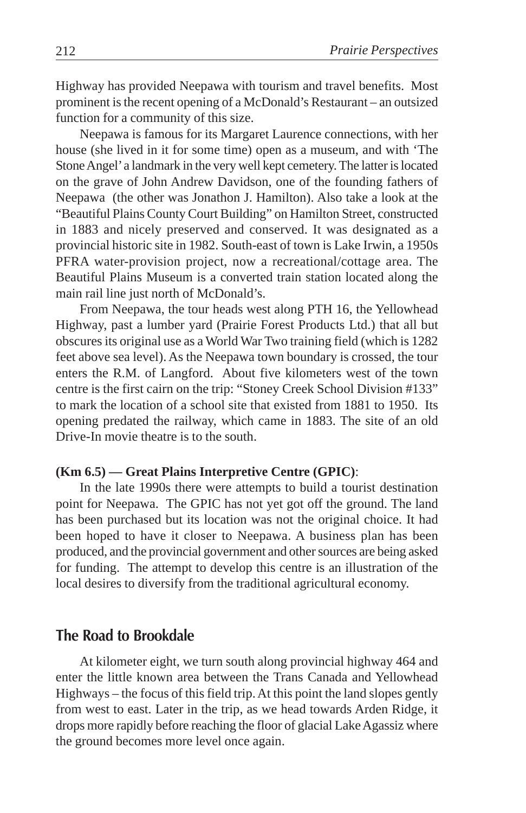Highway has provided Neepawa with tourism and travel benefits. Most prominent is the recent opening of a McDonald's Restaurant – an outsized function for a community of this size.

Neepawa is famous for its Margaret Laurence connections, with her house (she lived in it for some time) open as a museum, and with 'The Stone Angel' a landmark in the very well kept cemetery. The latter is located on the grave of John Andrew Davidson, one of the founding fathers of Neepawa (the other was Jonathon J. Hamilton). Also take a look at the "Beautiful Plains County Court Building" on Hamilton Street, constructed in 1883 and nicely preserved and conserved. It was designated as a provincial historic site in 1982. South-east of town is Lake Irwin, a 1950s PFRA water-provision project, now a recreational/cottage area. The Beautiful Plains Museum is a converted train station located along the main rail line just north of McDonald's.

From Neepawa, the tour heads west along PTH 16, the Yellowhead Highway, past a lumber yard (Prairie Forest Products Ltd.) that all but obscures its original use as a World War Two training field (which is 1282 feet above sea level). As the Neepawa town boundary is crossed, the tour enters the R.M. of Langford. About five kilometers west of the town centre is the first cairn on the trip: "Stoney Creek School Division #133" to mark the location of a school site that existed from 1881 to 1950. Its opening predated the railway, which came in 1883. The site of an old Drive-In movie theatre is to the south.

#### **(Km 6.5) — Great Plains Interpretive Centre (GPIC)**:

In the late 1990s there were attempts to build a tourist destination point for Neepawa. The GPIC has not yet got off the ground. The land has been purchased but its location was not the original choice. It had been hoped to have it closer to Neepawa. A business plan has been produced, and the provincial government and other sources are being asked for funding. The attempt to develop this centre is an illustration of the local desires to diversify from the traditional agricultural economy.

# **The Road to Brookdale**

At kilometer eight, we turn south along provincial highway 464 and enter the little known area between the Trans Canada and Yellowhead Highways – the focus of this field trip. At this point the land slopes gently from west to east. Later in the trip, as we head towards Arden Ridge, it drops more rapidly before reaching the floor of glacial Lake Agassiz where the ground becomes more level once again.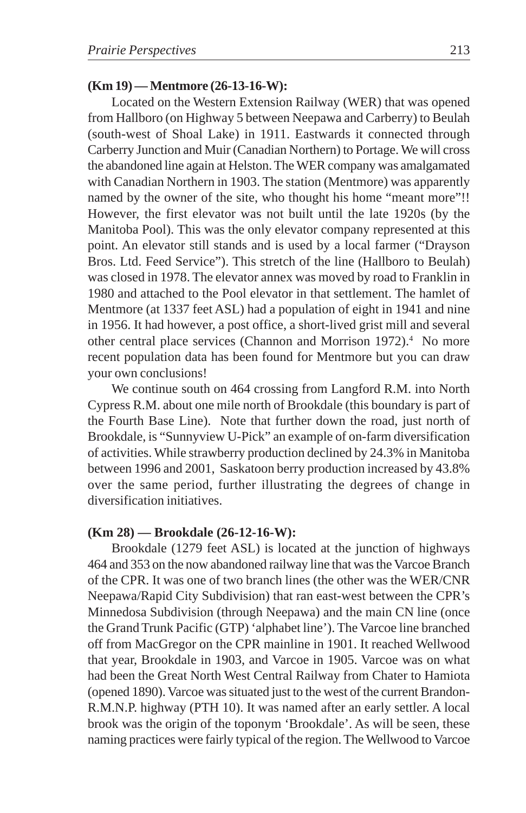#### **(Km 19) — Mentmore (26-13-16-W):**

Located on the Western Extension Railway (WER) that was opened from Hallboro (on Highway 5 between Neepawa and Carberry) to Beulah (south-west of Shoal Lake) in 1911. Eastwards it connected through Carberry Junction and Muir (Canadian Northern) to Portage. We will cross the abandoned line again at Helston. The WER company was amalgamated with Canadian Northern in 1903. The station (Mentmore) was apparently named by the owner of the site, who thought his home "meant more"!! However, the first elevator was not built until the late 1920s (by the Manitoba Pool). This was the only elevator company represented at this point. An elevator still stands and is used by a local farmer ("Drayson Bros. Ltd. Feed Service"). This stretch of the line (Hallboro to Beulah) was closed in 1978. The elevator annex was moved by road to Franklin in 1980 and attached to the Pool elevator in that settlement. The hamlet of Mentmore (at 1337 feet ASL) had a population of eight in 1941 and nine in 1956. It had however, a post office, a short-lived grist mill and several other central place services (Channon and Morrison 1972).<sup>4</sup> No more recent population data has been found for Mentmore but you can draw your own conclusions!

We continue south on 464 crossing from Langford R.M. into North Cypress R.M. about one mile north of Brookdale (this boundary is part of the Fourth Base Line). Note that further down the road, just north of Brookdale, is "Sunnyview U-Pick" an example of on-farm diversification of activities. While strawberry production declined by 24.3% in Manitoba between 1996 and 2001, Saskatoon berry production increased by 43.8% over the same period, further illustrating the degrees of change in diversification initiatives.

#### **(Km 28) — Brookdale (26-12-16-W):**

Brookdale (1279 feet ASL) is located at the junction of highways 464 and 353 on the now abandoned railway line that was the Varcoe Branch of the CPR. It was one of two branch lines (the other was the WER/CNR Neepawa/Rapid City Subdivision) that ran east-west between the CPR's Minnedosa Subdivision (through Neepawa) and the main CN line (once the Grand Trunk Pacific (GTP) 'alphabet line'). The Varcoe line branched off from MacGregor on the CPR mainline in 1901. It reached Wellwood that year, Brookdale in 1903, and Varcoe in 1905. Varcoe was on what had been the Great North West Central Railway from Chater to Hamiota (opened 1890). Varcoe was situated just to the west of the current Brandon-R.M.N.P. highway (PTH 10). It was named after an early settler. A local brook was the origin of the toponym 'Brookdale'. As will be seen, these naming practices were fairly typical of the region. The Wellwood to Varcoe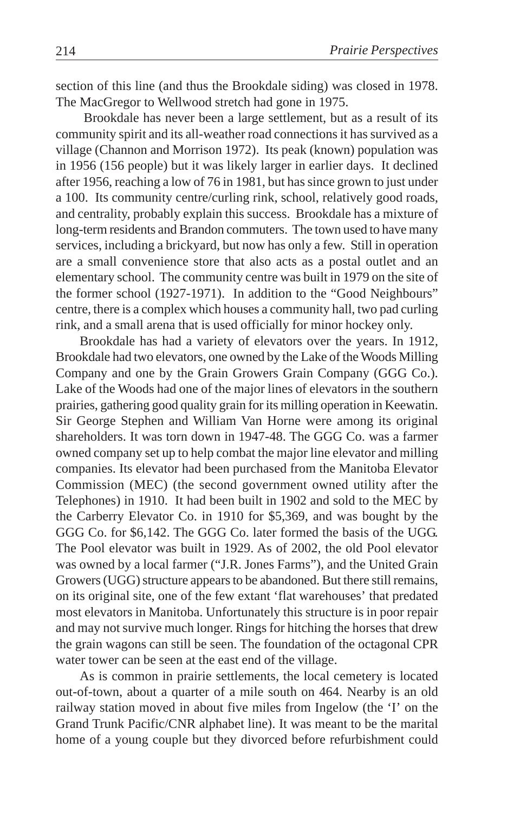section of this line (and thus the Brookdale siding) was closed in 1978. The MacGregor to Wellwood stretch had gone in 1975.

 Brookdale has never been a large settlement, but as a result of its community spirit and its all-weather road connections it has survived as a village (Channon and Morrison 1972). Its peak (known) population was in 1956 (156 people) but it was likely larger in earlier days. It declined after 1956, reaching a low of 76 in 1981, but has since grown to just under a 100. Its community centre/curling rink, school, relatively good roads, and centrality, probably explain this success. Brookdale has a mixture of long-term residents and Brandon commuters. The town used to have many services, including a brickyard, but now has only a few. Still in operation are a small convenience store that also acts as a postal outlet and an elementary school. The community centre was built in 1979 on the site of the former school (1927-1971). In addition to the "Good Neighbours" centre, there is a complex which houses a community hall, two pad curling rink, and a small arena that is used officially for minor hockey only.

Brookdale has had a variety of elevators over the years. In 1912, Brookdale had two elevators, one owned by the Lake of the Woods Milling Company and one by the Grain Growers Grain Company (GGG Co.). Lake of the Woods had one of the major lines of elevators in the southern prairies, gathering good quality grain for its milling operation in Keewatin. Sir George Stephen and William Van Horne were among its original shareholders. It was torn down in 1947-48. The GGG Co. was a farmer owned company set up to help combat the major line elevator and milling companies. Its elevator had been purchased from the Manitoba Elevator Commission (MEC) (the second government owned utility after the Telephones) in 1910. It had been built in 1902 and sold to the MEC by the Carberry Elevator Co. in 1910 for \$5,369, and was bought by the GGG Co. for \$6,142. The GGG Co. later formed the basis of the UGG. The Pool elevator was built in 1929. As of 2002, the old Pool elevator was owned by a local farmer ("J.R. Jones Farms"), and the United Grain Growers (UGG) structure appears to be abandoned. But there still remains, on its original site, one of the few extant 'flat warehouses' that predated most elevators in Manitoba. Unfortunately this structure is in poor repair and may not survive much longer. Rings for hitching the horses that drew the grain wagons can still be seen. The foundation of the octagonal CPR water tower can be seen at the east end of the village.

As is common in prairie settlements, the local cemetery is located out-of-town, about a quarter of a mile south on 464. Nearby is an old railway station moved in about five miles from Ingelow (the 'I' on the Grand Trunk Pacific/CNR alphabet line). It was meant to be the marital home of a young couple but they divorced before refurbishment could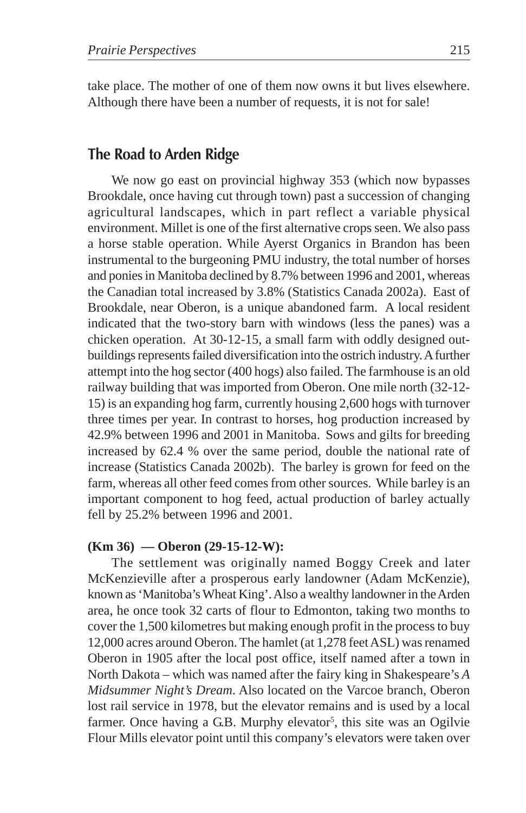take place. The mother of one of them now owns it but lives elsewhere. Although there have been a number of requests, it is not for sale!

# **The Road to Arden Ridge**

We now go east on provincial highway 353 (which now bypasses Brookdale, once having cut through town) past a succession of changing agricultural landscapes, which in part reflect a variable physical environment. Millet is one of the first alternative crops seen. We also pass a horse stable operation. While Ayerst Organics in Brandon has been instrumental to the burgeoning PMU industry, the total number of horses and ponies in Manitoba declined by 8.7% between 1996 and 2001, whereas the Canadian total increased by 3.8% (Statistics Canada 2002a). East of Brookdale, near Oberon, is a unique abandoned farm. A local resident indicated that the two-story barn with windows (less the panes) was a chicken operation. At 30-12-15, a small farm with oddly designed outbuildings represents failed diversification into the ostrich industry. A further attempt into the hog sector (400 hogs) also failed. The farmhouse is an old railway building that was imported from Oberon. One mile north (32-12- 15) is an expanding hog farm, currently housing 2,600 hogs with turnover three times per year. In contrast to horses, hog production increased by 42.9% between 1996 and 2001 in Manitoba. Sows and gilts for breeding increased by 62.4 % over the same period, double the national rate of increase (Statistics Canada 2002b). The barley is grown for feed on the farm, whereas all other feed comes from other sources. While barley is an important component to hog feed, actual production of barley actually fell by 25.2% between 1996 and 2001.

#### **(Km 36) — Oberon (29-15-12-W):**

The settlement was originally named Boggy Creek and later McKenzieville after a prosperous early landowner (Adam McKenzie), known as 'Manitoba's Wheat King'. Also a wealthy landowner in the Arden area, he once took 32 carts of flour to Edmonton, taking two months to cover the 1,500 kilometres but making enough profit in the process to buy 12,000 acres around Oberon. The hamlet (at 1,278 feet ASL) was renamed Oberon in 1905 after the local post office, itself named after a town in North Dakota – which was named after the fairy king in Shakespeare's *A Midsummer Night's Dream*. Also located on the Varcoe branch, Oberon lost rail service in 1978, but the elevator remains and is used by a local farmer. Once having a G.B. Murphy elevator<sup>5</sup>, this site was an Ogilvie Flour Mills elevator point until this company's elevators were taken over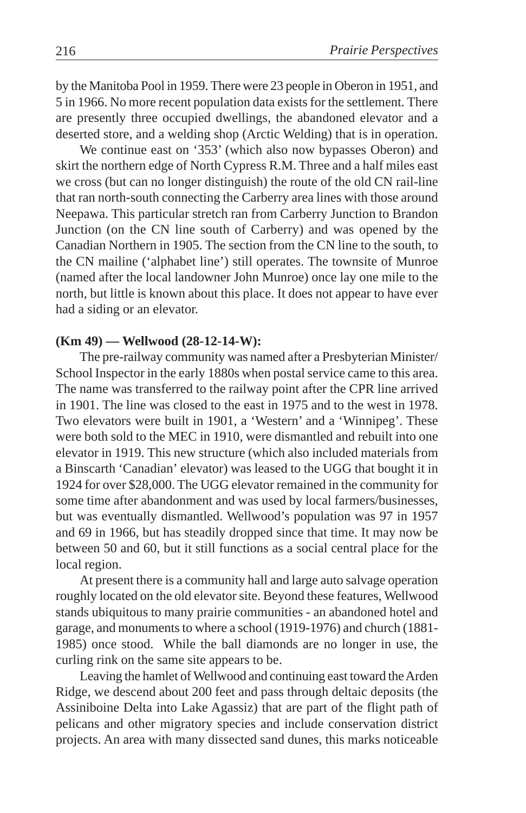by the Manitoba Pool in 1959. There were 23 people in Oberon in 1951, and 5 in 1966. No more recent population data exists for the settlement. There are presently three occupied dwellings, the abandoned elevator and a deserted store, and a welding shop (Arctic Welding) that is in operation.

We continue east on '353' (which also now bypasses Oberon) and skirt the northern edge of North Cypress R.M. Three and a half miles east we cross (but can no longer distinguish) the route of the old CN rail-line that ran north-south connecting the Carberry area lines with those around Neepawa. This particular stretch ran from Carberry Junction to Brandon Junction (on the CN line south of Carberry) and was opened by the Canadian Northern in 1905. The section from the CN line to the south, to the CN mailine ('alphabet line') still operates. The townsite of Munroe (named after the local landowner John Munroe) once lay one mile to the north, but little is known about this place. It does not appear to have ever had a siding or an elevator.

#### **(Km 49) — Wellwood (28-12-14-W):**

The pre-railway community was named after a Presbyterian Minister/ School Inspector in the early 1880s when postal service came to this area. The name was transferred to the railway point after the CPR line arrived in 1901. The line was closed to the east in 1975 and to the west in 1978. Two elevators were built in 1901, a 'Western' and a 'Winnipeg'. These were both sold to the MEC in 1910, were dismantled and rebuilt into one elevator in 1919. This new structure (which also included materials from a Binscarth 'Canadian' elevator) was leased to the UGG that bought it in 1924 for over \$28,000. The UGG elevator remained in the community for some time after abandonment and was used by local farmers/businesses, but was eventually dismantled. Wellwood's population was 97 in 1957 and 69 in 1966, but has steadily dropped since that time. It may now be between 50 and 60, but it still functions as a social central place for the local region.

At present there is a community hall and large auto salvage operation roughly located on the old elevator site. Beyond these features, Wellwood stands ubiquitous to many prairie communities - an abandoned hotel and garage, and monuments to where a school (1919-1976) and church (1881- 1985) once stood. While the ball diamonds are no longer in use, the curling rink on the same site appears to be.

Leaving the hamlet of Wellwood and continuing east toward the Arden Ridge, we descend about 200 feet and pass through deltaic deposits (the Assiniboine Delta into Lake Agassiz) that are part of the flight path of pelicans and other migratory species and include conservation district projects. An area with many dissected sand dunes, this marks noticeable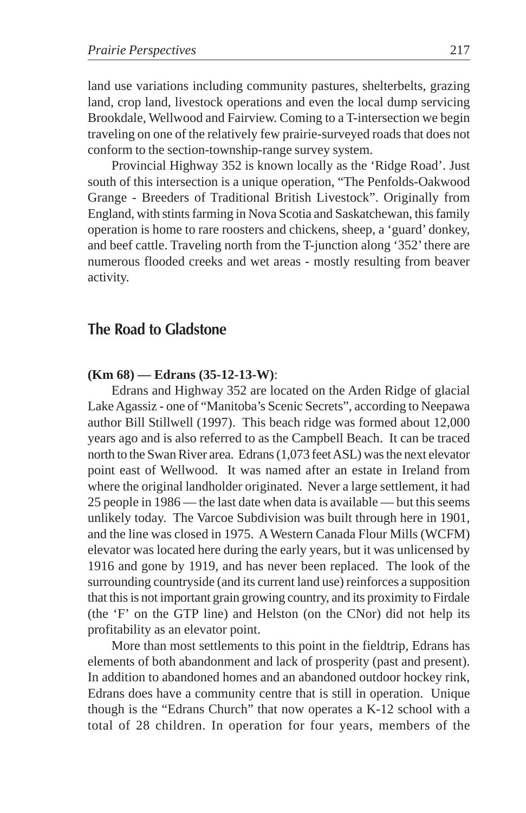land use variations including community pastures, shelterbelts, grazing land, crop land, livestock operations and even the local dump servicing Brookdale, Wellwood and Fairview. Coming to a T-intersection we begin traveling on one of the relatively few prairie-surveyed roads that does not conform to the section-township-range survey system.

Provincial Highway 352 is known locally as the 'Ridge Road'. Just south of this intersection is a unique operation, "The Penfolds-Oakwood Grange - Breeders of Traditional British Livestock". Originally from England, with stints farming in Nova Scotia and Saskatchewan, this family operation is home to rare roosters and chickens, sheep, a 'guard' donkey, and beef cattle. Traveling north from the T-junction along '352' there are numerous flooded creeks and wet areas - mostly resulting from beaver activity.

### **The Road to Gladstone**

#### **(Km 68) — Edrans (35-12-13-W)**:

Edrans and Highway 352 are located on the Arden Ridge of glacial Lake Agassiz - one of "Manitoba's Scenic Secrets", according to Neepawa author Bill Stillwell (1997). This beach ridge was formed about 12,000 years ago and is also referred to as the Campbell Beach. It can be traced north to the Swan River area. Edrans (1,073 feet ASL) was the next elevator point east of Wellwood. It was named after an estate in Ireland from where the original landholder originated. Never a large settlement, it had 25 people in 1986 — the last date when data is available — but this seems unlikely today. The Varcoe Subdivision was built through here in 1901, and the line was closed in 1975. A Western Canada Flour Mills (WCFM) elevator was located here during the early years, but it was unlicensed by 1916 and gone by 1919, and has never been replaced. The look of the surrounding countryside (and its current land use) reinforces a supposition that this is not important grain growing country, and its proximity to Firdale (the 'F' on the GTP line) and Helston (on the CNor) did not help its profitability as an elevator point.

More than most settlements to this point in the fieldtrip, Edrans has elements of both abandonment and lack of prosperity (past and present). In addition to abandoned homes and an abandoned outdoor hockey rink, Edrans does have a community centre that is still in operation. Unique though is the "Edrans Church" that now operates a K-12 school with a total of 28 children. In operation for four years, members of the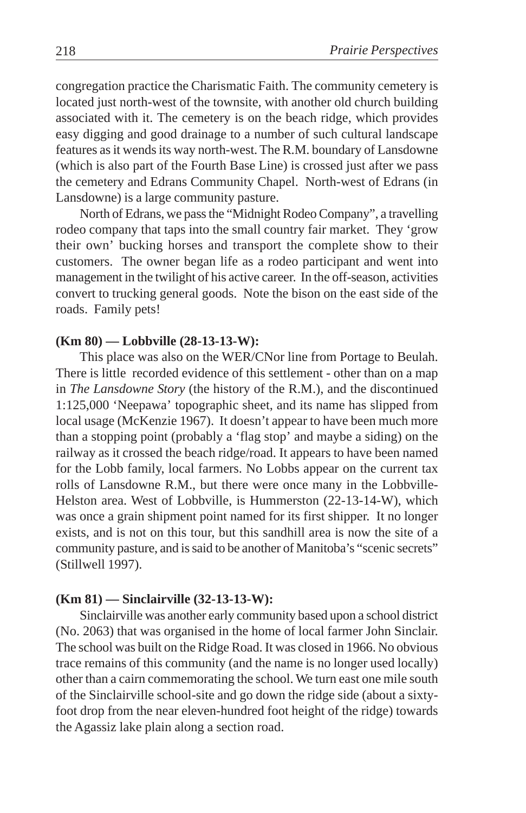congregation practice the Charismatic Faith. The community cemetery is located just north-west of the townsite, with another old church building associated with it. The cemetery is on the beach ridge, which provides easy digging and good drainage to a number of such cultural landscape features as it wends its way north-west. The R.M. boundary of Lansdowne (which is also part of the Fourth Base Line) is crossed just after we pass the cemetery and Edrans Community Chapel. North-west of Edrans (in Lansdowne) is a large community pasture.

North of Edrans, we pass the "Midnight Rodeo Company", a travelling rodeo company that taps into the small country fair market. They 'grow their own' bucking horses and transport the complete show to their customers. The owner began life as a rodeo participant and went into management in the twilight of his active career. In the off-season, activities convert to trucking general goods. Note the bison on the east side of the roads. Family pets!

#### **(Km 80) — Lobbville (28-13-13-W):**

This place was also on the WER/CNor line from Portage to Beulah. There is little recorded evidence of this settlement - other than on a map in *The Lansdowne Story* (the history of the R.M.), and the discontinued 1:125,000 'Neepawa' topographic sheet, and its name has slipped from local usage (McKenzie 1967). It doesn't appear to have been much more than a stopping point (probably a 'flag stop' and maybe a siding) on the railway as it crossed the beach ridge/road. It appears to have been named for the Lobb family, local farmers. No Lobbs appear on the current tax rolls of Lansdowne R.M., but there were once many in the Lobbville-Helston area. West of Lobbville, is Hummerston (22-13-14-W), which was once a grain shipment point named for its first shipper. It no longer exists, and is not on this tour, but this sandhill area is now the site of a community pasture, and is said to be another of Manitoba's "scenic secrets" (Stillwell 1997).

#### **(Km 81) — Sinclairville (32-13-13-W):**

Sinclairville was another early community based upon a school district (No. 2063) that was organised in the home of local farmer John Sinclair. The school was built on the Ridge Road. It was closed in 1966. No obvious trace remains of this community (and the name is no longer used locally) other than a cairn commemorating the school. We turn east one mile south of the Sinclairville school-site and go down the ridge side (about a sixtyfoot drop from the near eleven-hundred foot height of the ridge) towards the Agassiz lake plain along a section road.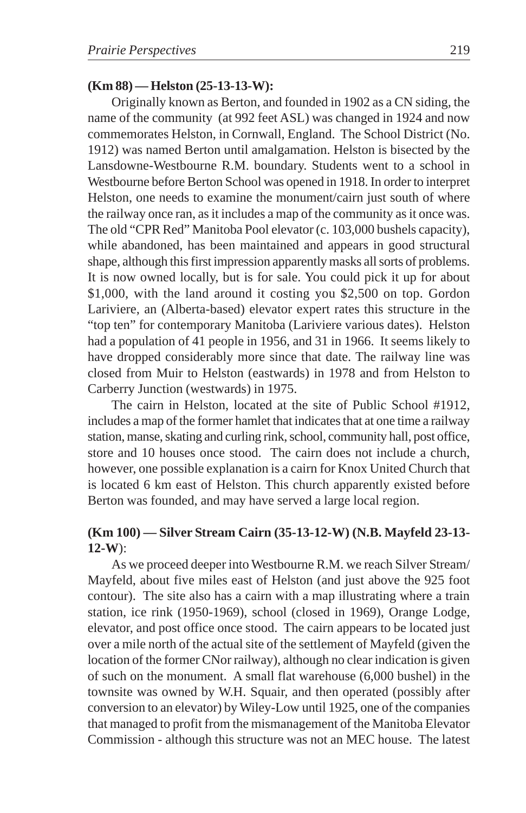#### **(Km 88) — Helston (25-13-13-W):**

Originally known as Berton, and founded in 1902 as a CN siding, the name of the community (at 992 feet ASL) was changed in 1924 and now commemorates Helston, in Cornwall, England. The School District (No. 1912) was named Berton until amalgamation. Helston is bisected by the Lansdowne-Westbourne R.M. boundary. Students went to a school in Westbourne before Berton School was opened in 1918. In order to interpret Helston, one needs to examine the monument/cairn just south of where the railway once ran, as it includes a map of the community as it once was. The old "CPR Red" Manitoba Pool elevator (c. 103,000 bushels capacity), while abandoned, has been maintained and appears in good structural shape, although this first impression apparently masks all sorts of problems. It is now owned locally, but is for sale. You could pick it up for about \$1,000, with the land around it costing you \$2,500 on top. Gordon Lariviere, an (Alberta-based) elevator expert rates this structure in the "top ten" for contemporary Manitoba (Lariviere various dates). Helston had a population of 41 people in 1956, and 31 in 1966. It seems likely to have dropped considerably more since that date. The railway line was closed from Muir to Helston (eastwards) in 1978 and from Helston to Carberry Junction (westwards) in 1975.

The cairn in Helston, located at the site of Public School #1912, includes a map of the former hamlet that indicates that at one time a railway station, manse, skating and curling rink, school, community hall, post office, store and 10 houses once stood. The cairn does not include a church, however, one possible explanation is a cairn for Knox United Church that is located 6 km east of Helston. This church apparently existed before Berton was founded, and may have served a large local region.

### **(Km 100) — Silver Stream Cairn (35-13-12-W) (N.B. Mayfeld 23-13- 12-W**):

As we proceed deeper into Westbourne R.M. we reach Silver Stream/ Mayfeld, about five miles east of Helston (and just above the 925 foot contour). The site also has a cairn with a map illustrating where a train station, ice rink (1950-1969), school (closed in 1969), Orange Lodge, elevator, and post office once stood. The cairn appears to be located just over a mile north of the actual site of the settlement of Mayfeld (given the location of the former CNor railway), although no clear indication is given of such on the monument. A small flat warehouse (6,000 bushel) in the townsite was owned by W.H. Squair, and then operated (possibly after conversion to an elevator) by Wiley-Low until 1925, one of the companies that managed to profit from the mismanagement of the Manitoba Elevator Commission - although this structure was not an MEC house. The latest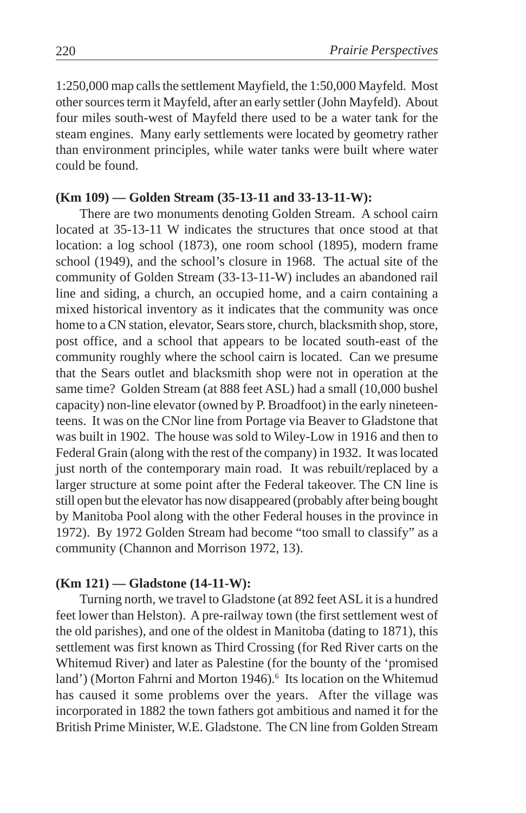1:250,000 map calls the settlement Mayfield, the 1:50,000 Mayfeld. Most other sources term it Mayfeld, after an early settler (John Mayfeld). About four miles south-west of Mayfeld there used to be a water tank for the steam engines. Many early settlements were located by geometry rather than environment principles, while water tanks were built where water could be found.

#### **(Km 109) — Golden Stream (35-13-11 and 33-13-11-W):**

There are two monuments denoting Golden Stream. A school cairn located at 35-13-11 W indicates the structures that once stood at that location: a log school (1873), one room school (1895), modern frame school (1949), and the school's closure in 1968. The actual site of the community of Golden Stream (33-13-11-W) includes an abandoned rail line and siding, a church, an occupied home, and a cairn containing a mixed historical inventory as it indicates that the community was once home to a CN station, elevator, Sears store, church, blacksmith shop, store, post office, and a school that appears to be located south-east of the community roughly where the school cairn is located. Can we presume that the Sears outlet and blacksmith shop were not in operation at the same time? Golden Stream (at 888 feet ASL) had a small (10,000 bushel capacity) non-line elevator (owned by P. Broadfoot) in the early nineteenteens. It was on the CNor line from Portage via Beaver to Gladstone that was built in 1902. The house was sold to Wiley-Low in 1916 and then to Federal Grain (along with the rest of the company) in 1932. It was located just north of the contemporary main road. It was rebuilt/replaced by a larger structure at some point after the Federal takeover. The CN line is still open but the elevator has now disappeared (probably after being bought by Manitoba Pool along with the other Federal houses in the province in 1972). By 1972 Golden Stream had become "too small to classify" as a community (Channon and Morrison 1972, 13).

#### **(Km 121) — Gladstone (14-11-W):**

Turning north, we travel to Gladstone (at 892 feet ASL it is a hundred feet lower than Helston). A pre-railway town (the first settlement west of the old parishes), and one of the oldest in Manitoba (dating to 1871), this settlement was first known as Third Crossing (for Red River carts on the Whitemud River) and later as Palestine (for the bounty of the 'promised land') (Morton Fahrni and Morton 1946).<sup>6</sup> Its location on the Whitemud has caused it some problems over the years. After the village was incorporated in 1882 the town fathers got ambitious and named it for the British Prime Minister, W.E. Gladstone. The CN line from Golden Stream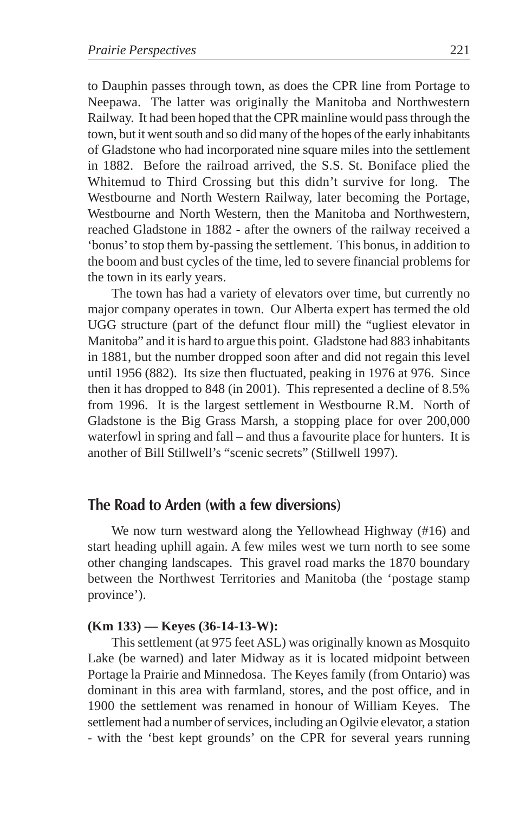to Dauphin passes through town, as does the CPR line from Portage to Neepawa. The latter was originally the Manitoba and Northwestern Railway. It had been hoped that the CPR mainline would pass through the town, but it went south and so did many of the hopes of the early inhabitants of Gladstone who had incorporated nine square miles into the settlement in 1882. Before the railroad arrived, the S.S. St. Boniface plied the Whitemud to Third Crossing but this didn't survive for long. The Westbourne and North Western Railway, later becoming the Portage, Westbourne and North Western, then the Manitoba and Northwestern, reached Gladstone in 1882 - after the owners of the railway received a 'bonus' to stop them by-passing the settlement. This bonus, in addition to the boom and bust cycles of the time, led to severe financial problems for the town in its early years.

The town has had a variety of elevators over time, but currently no major company operates in town. Our Alberta expert has termed the old UGG structure (part of the defunct flour mill) the "ugliest elevator in Manitoba" and it is hard to argue this point. Gladstone had 883 inhabitants in 1881, but the number dropped soon after and did not regain this level until 1956 (882). Its size then fluctuated, peaking in 1976 at 976. Since then it has dropped to 848 (in 2001). This represented a decline of 8.5% from 1996. It is the largest settlement in Westbourne R.M. North of Gladstone is the Big Grass Marsh, a stopping place for over 200,000 waterfowl in spring and fall – and thus a favourite place for hunters. It is another of Bill Stillwell's "scenic secrets" (Stillwell 1997).

### **The Road to Arden (with a few diversions)**

We now turn westward along the Yellowhead Highway (#16) and start heading uphill again. A few miles west we turn north to see some other changing landscapes. This gravel road marks the 1870 boundary between the Northwest Territories and Manitoba (the 'postage stamp province').

#### **(Km 133) — Keyes (36-14-13-W):**

This settlement (at 975 feet ASL) was originally known as Mosquito Lake (be warned) and later Midway as it is located midpoint between Portage la Prairie and Minnedosa. The Keyes family (from Ontario) was dominant in this area with farmland, stores, and the post office, and in 1900 the settlement was renamed in honour of William Keyes. The settlement had a number of services, including an Ogilvie elevator, a station - with the 'best kept grounds' on the CPR for several years running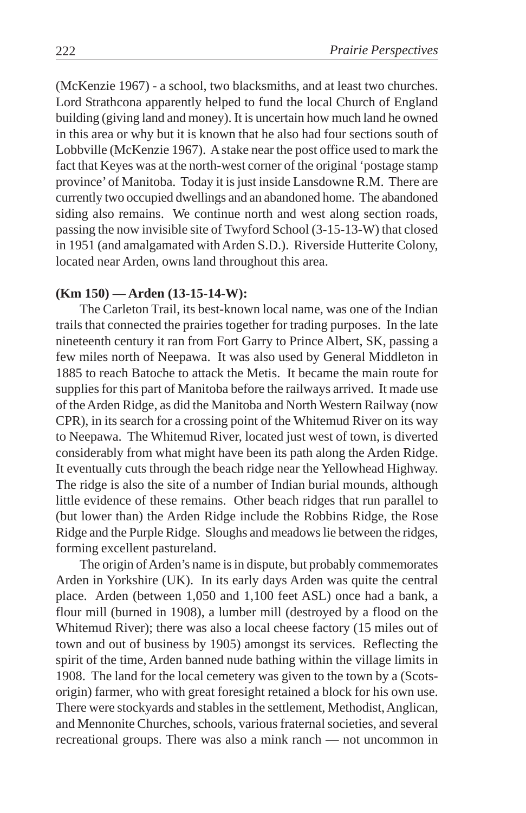(McKenzie 1967) - a school, two blacksmiths, and at least two churches. Lord Strathcona apparently helped to fund the local Church of England building (giving land and money). It is uncertain how much land he owned in this area or why but it is known that he also had four sections south of Lobbville (McKenzie 1967). A stake near the post office used to mark the fact that Keyes was at the north-west corner of the original 'postage stamp province' of Manitoba. Today it is just inside Lansdowne R.M. There are currently two occupied dwellings and an abandoned home. The abandoned siding also remains. We continue north and west along section roads, passing the now invisible site of Twyford School (3-15-13-W) that closed in 1951 (and amalgamated with Arden S.D.). Riverside Hutterite Colony, located near Arden, owns land throughout this area.

#### **(Km 150) — Arden (13-15-14-W):**

The Carleton Trail, its best-known local name, was one of the Indian trails that connected the prairies together for trading purposes. In the late nineteenth century it ran from Fort Garry to Prince Albert, SK, passing a few miles north of Neepawa. It was also used by General Middleton in 1885 to reach Batoche to attack the Metis. It became the main route for supplies for this part of Manitoba before the railways arrived. It made use of the Arden Ridge, as did the Manitoba and North Western Railway (now CPR), in its search for a crossing point of the Whitemud River on its way to Neepawa. The Whitemud River, located just west of town, is diverted considerably from what might have been its path along the Arden Ridge. It eventually cuts through the beach ridge near the Yellowhead Highway. The ridge is also the site of a number of Indian burial mounds, although little evidence of these remains. Other beach ridges that run parallel to (but lower than) the Arden Ridge include the Robbins Ridge, the Rose Ridge and the Purple Ridge. Sloughs and meadows lie between the ridges, forming excellent pastureland.

The origin of Arden's name is in dispute, but probably commemorates Arden in Yorkshire (UK). In its early days Arden was quite the central place. Arden (between 1,050 and 1,100 feet ASL) once had a bank, a flour mill (burned in 1908), a lumber mill (destroyed by a flood on the Whitemud River); there was also a local cheese factory (15 miles out of town and out of business by 1905) amongst its services. Reflecting the spirit of the time, Arden banned nude bathing within the village limits in 1908. The land for the local cemetery was given to the town by a (Scotsorigin) farmer, who with great foresight retained a block for his own use. There were stockyards and stables in the settlement, Methodist, Anglican, and Mennonite Churches, schools, various fraternal societies, and several recreational groups. There was also a mink ranch — not uncommon in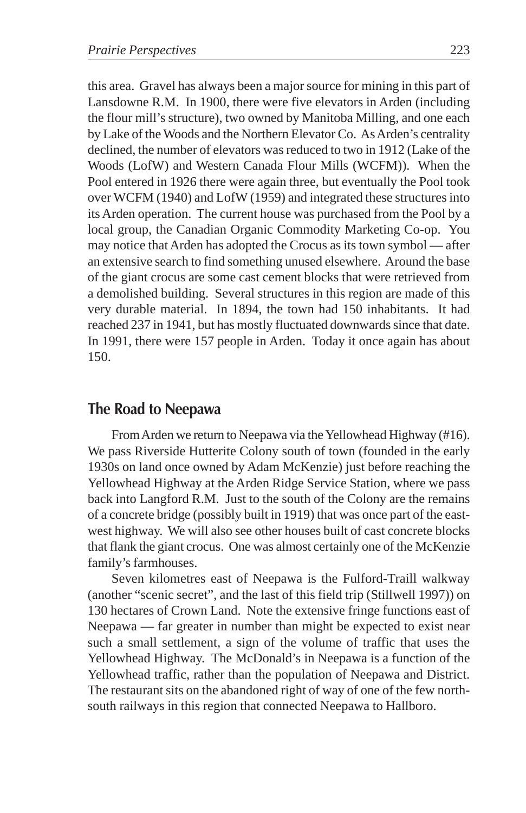this area. Gravel has always been a major source for mining in this part of Lansdowne R.M. In 1900, there were five elevators in Arden (including the flour mill's structure), two owned by Manitoba Milling, and one each by Lake of the Woods and the Northern Elevator Co. As Arden's centrality declined, the number of elevators was reduced to two in 1912 (Lake of the Woods (LofW) and Western Canada Flour Mills (WCFM)). When the Pool entered in 1926 there were again three, but eventually the Pool took over WCFM (1940) and LofW (1959) and integrated these structures into its Arden operation. The current house was purchased from the Pool by a local group, the Canadian Organic Commodity Marketing Co-op. You may notice that Arden has adopted the Crocus as its town symbol — after an extensive search to find something unused elsewhere. Around the base of the giant crocus are some cast cement blocks that were retrieved from a demolished building. Several structures in this region are made of this very durable material. In 1894, the town had 150 inhabitants. It had reached 237 in 1941, but has mostly fluctuated downwards since that date. In 1991, there were 157 people in Arden. Today it once again has about 150.

## **The Road to Neepawa**

From Arden we return to Neepawa via the Yellowhead Highway (#16). We pass Riverside Hutterite Colony south of town (founded in the early 1930s on land once owned by Adam McKenzie) just before reaching the Yellowhead Highway at the Arden Ridge Service Station, where we pass back into Langford R.M. Just to the south of the Colony are the remains of a concrete bridge (possibly built in 1919) that was once part of the eastwest highway. We will also see other houses built of cast concrete blocks that flank the giant crocus. One was almost certainly one of the McKenzie family's farmhouses.

Seven kilometres east of Neepawa is the Fulford-Traill walkway (another "scenic secret", and the last of this field trip (Stillwell 1997)) on 130 hectares of Crown Land. Note the extensive fringe functions east of Neepawa — far greater in number than might be expected to exist near such a small settlement, a sign of the volume of traffic that uses the Yellowhead Highway. The McDonald's in Neepawa is a function of the Yellowhead traffic, rather than the population of Neepawa and District. The restaurant sits on the abandoned right of way of one of the few northsouth railways in this region that connected Neepawa to Hallboro.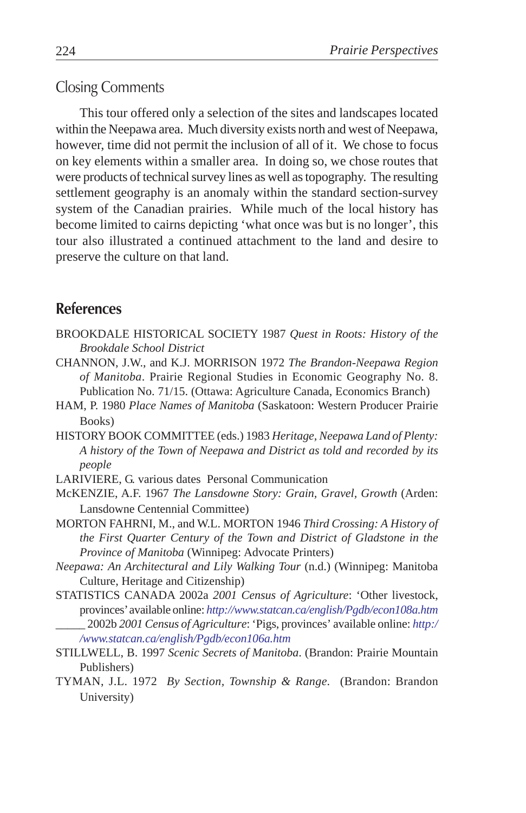## Closing Comments

This tour offered only a selection of the sites and landscapes located within the Neepawa area. Much diversity exists north and west of Neepawa, however, time did not permit the inclusion of all of it. We chose to focus on key elements within a smaller area. In doing so, we chose routes that were products of technical survey lines as well as topography. The resulting settlement geography is an anomaly within the standard section-survey system of the Canadian prairies. While much of the local history has become limited to cairns depicting 'what once was but is no longer', this tour also illustrated a continued attachment to the land and desire to preserve the culture on that land.

# **References**

- BROOKDALE HISTORICAL SOCIETY 1987 *Quest in Roots: History of the Brookdale School District*
- CHANNON, J.W., and K.J. MORRISON 1972 *The Brandon-Neepawa Region of Manitoba*. Prairie Regional Studies in Economic Geography No. 8. Publication No. 71/15. (Ottawa: Agriculture Canada, Economics Branch)
- HAM, P. 1980 *Place Names of Manitoba* (Saskatoon: Western Producer Prairie Books)
- HISTORY BOOK COMMITTEE (eds.) 1983 *Heritage, Neepawa Land of Plenty: A history of the Town of Neepawa and District as told and recorded by its people*
- LARIVIERE, G. various dates Personal Communication
- McKENZIE, A.F. 1967 *The Lansdowne Story: Grain, Gravel, Growth* (Arden: Lansdowne Centennial Committee)
- MORTON FAHRNI, M., and W.L. MORTON 1946 *Third Crossing: A History of the First Quarter Century of the Town and District of Gladstone in the Province of Manitoba* (Winnipeg: Advocate Printers)
- *Neepawa: An Architectural and Lily Walking Tour* (n.d.) (Winnipeg: Manitoba Culture, Heritage and Citizenship)
- STATISTICS CANADA 2002a *2001 Census of Agriculture*: 'Other livestock, provinces' available online: *http://www.statcan.ca/english/Pgdb/econ108a.htm* \_\_\_\_\_ 2002b *2001 Census of Agriculture*: 'Pigs, provinces' available online: *http:/ /www.statcan.ca/english/Pgdb/econ106a.htm*
- STILLWELL, B. 1997 *Scenic Secrets of Manitoba*. (Brandon: Prairie Mountain Publishers)
- TYMAN, J.L. 1972 *By Section, Township & Range.* (Brandon: Brandon University)